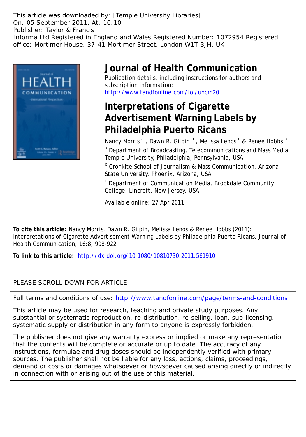This article was downloaded by: [Temple University Libraries] On: 05 September 2011, At: 10:10 Publisher: Taylor & Francis Informa Ltd Registered in England and Wales Registered Number: 1072954 Registered office: Mortimer House, 37-41 Mortimer Street, London W1T 3JH, UK



# **Journal of Health Communication**

Publication details, including instructions for authors and subscription information: <http://www.tandfonline.com/loi/uhcm20>

## **Interpretations of Cigarette Advertisement Warning Labels by Philadelphia Puerto Ricans**

Nancy Morris <sup>a</sup>, Dawn R. Gilpin <sup>b</sup>, Melissa Lenos <sup>c</sup> & Renee Hobbs <sup>a</sup> <sup>a</sup> Department of Broadcasting, Telecommunications and Mass Media, Temple University, Philadelphia, Pennsylvania, USA **b** Cronkite School of Journalism & Mass Communication, Arizona

State University, Phoenix, Arizona, USA

<sup>c</sup> Department of Communication Media, Brookdale Community College, Lincroft, New Jersey, USA

Available online: 27 Apr 2011

**To cite this article:** Nancy Morris, Dawn R. Gilpin, Melissa Lenos & Renee Hobbs (2011): Interpretations of Cigarette Advertisement Warning Labels by Philadelphia Puerto Ricans, Journal of Health Communication, 16:8, 908-922

**To link to this article:** <http://dx.doi.org/10.1080/10810730.2011.561910>

## PLEASE SCROLL DOWN FOR ARTICLE

Full terms and conditions of use:<http://www.tandfonline.com/page/terms-and-conditions>

This article may be used for research, teaching and private study purposes. Any substantial or systematic reproduction, re-distribution, re-selling, loan, sub-licensing, systematic supply or distribution in any form to anyone is expressly forbidden.

The publisher does not give any warranty express or implied or make any representation that the contents will be complete or accurate or up to date. The accuracy of any instructions, formulae and drug doses should be independently verified with primary sources. The publisher shall not be liable for any loss, actions, claims, proceedings, demand or costs or damages whatsoever or howsoever caused arising directly or indirectly in connection with or arising out of the use of this material.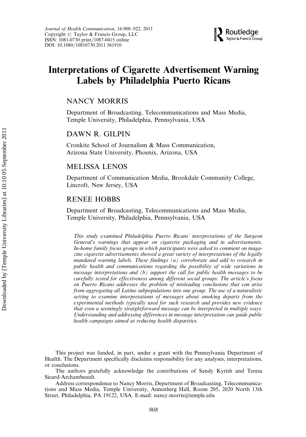

## Interpretations of Cigarette Advertisement Warning Labels by Philadelphia Puerto Ricans

## NANCY MORRIS

Department of Broadcasting, Telecommunications and Mass Media, Temple University, Philadelphia, Pennsylvania, USA

## DAWN R. GILPIN

Cronkite School of Journalism & Mass Communication, Arizona State University, Phoenix, Arizona, USA

### MELISSA LENOS

Department of Communication Media, Brookdale Community College, Lincroft, New Jersey, USA

### RENEE HOBBS

Department of Broadcasting, Telecommunications and Mass Media, Temple University, Philadelphia, Pennsylvania, USA

This study examined Philadelphia Puerto Ricans' interpretations of the Surgeon General's warnings that appear on cigarette packaging and in advertisements. In-home family focus groups in which participants were asked to comment on magazine cigarette advertisements showed a great variety of interpretations of the legally mandated warning labels. These findings (a) corroborate and add to research in public health and communications regarding the possibility of wide variations in message interpretations and (b) support the call for public health messages to be carefully tested for effectiveness among different social groups. The article's focus on Puerto Ricans addresses the problem of misleading conclusions that can arise from aggregating all Latino subpopulations into one group. The use of a naturalistic setting to examine interpretations of messages about smoking departs from the experimental methods typically used for such research and provides new evidence that even a seemingly straightforward message can be interpreted in multiple ways. Understanding and addressing differences in message interpretation can guide public health campaigns aimed at reducing health disparities.

This project was funded, in part, under a grant with the Pennsylvania Department of Health. The Department specifically disclaims responsibility for any analyses, interpretations, or conclusions.

The authors gratefully acknowledge the contributions of Sandy Kyrish and Teresa Sicard-Archambeault.

Address correspondence to Nancy Morris, Department of Broadcasting, Telecommunications and Mass Media, Temple University, Annenberg Hall, Room 205, 2020 North 13th Street, Philadelphia, PA 19122, USA. E-mail: nancy.morris@temple.edu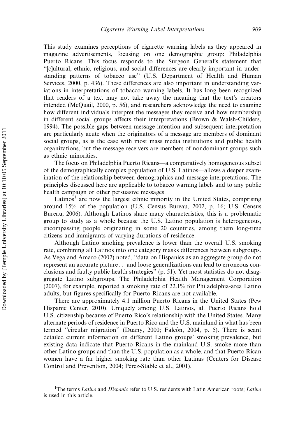This study examines perceptions of cigarette warning labels as they appeared in magazine advertisements, focusing on one demographic group: Philadelphia Puerto Ricans. This focus responds to the Surgeon General's statement that ''[c]ultural, ethnic, religious, and social differences are clearly important in understanding patterns of tobacco use'' (U.S. Department of Health and Human Services, 2000, p. 436). These differences are also important in understanding variations in interpretations of tobacco warning labels. It has long been recognized that readers of a text may not take away the meaning that the text's creators intended (McQuail, 2000, p. 56), and researchers acknowledge the need to examine how different individuals interpret the messages they receive and how membership in different social groups affects their interpretations (Brown & Walsh-Childers, 1994). The possible gaps between message intention and subsequent interpretation are particularly acute when the originators of a message are members of dominant social groups, as is the case with most mass media institutions and public health organizations, but the message receivers are members of nondominant groups such as ethnic minorities.

The focus on Philadelphia Puerto Ricans—a comparatively homogeneous subset of the demographically complex population of U.S. Latinos—allows a deeper examination of the relationship between demographics and message interpretations. The principles discussed here are applicable to tobacco warning labels and to any public health campaign or other persuasive messages.

Latinos<sup>1</sup> are now the largest ethnic minority in the United States, comprising around 15% of the population (U.S. Census Bureau, 2002, p. 16; U.S. Census Bureau, 2006). Although Latinos share many characteristics, this is a problematic group to study as a whole because the U.S. Latino population is heterogeneous, encompassing people originating in some 20 countries, among them long-time citizens and immigrants of varying durations of residence.

Although Latino smoking prevalence is lower than the overall U.S. smoking rate, combining all Latinos into one category masks differences between subgroups. As Vega and Amaro (2002) noted, ''data on Hispanics as an aggregate group do not represent an accurate picture ... and loose generalizations can lead to erroneous conclusions and faulty public health strategies'' (p. 51). Yet most statistics do not disaggregate Latino subgroups. The Philadelphia Health Management Corporation (2007), for example, reported a smoking rate of 22.1% for Philadelphia-area Latino adults, but figures specifically for Puerto Ricans are not available.

There are approximately 4.1 million Puerto Ricans in the United States (Pew Hispanic Center, 2010). Uniquely among U.S. Latinos, all Puerto Ricans hold U.S. citizenship because of Puerto Rico's relationship with the United States. Many alternate periods of residence in Puerto Rico and the U.S. mainland in what has been termed "circular migration" (Duany, 2000; Falcón, 2004, p. 5). There is scant detailed current information on different Latino groups' smoking prevalence, but existing data indicate that Puerto Ricans in the mainland U.S. smoke more than other Latino groups and than the U.S. population as a whole, and that Puerto Rican women have a far higher smoking rate than other Latinas (Centers for Disease Control and Prevention, 2004; Pérez-Stable et al., 2001).

<sup>&</sup>lt;sup>1</sup>The terms Latino and Hispanic refer to U.S. residents with Latin American roots; Latino is used in this article.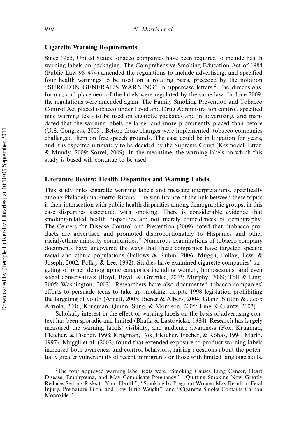#### Cigarette Warning Requirements

Since 1965, United States tobacco companies have been required to include health warning labels on packaging. The Comprehensive Smoking Education Act of 1984 (Public Law 98–474) amended the regulations to include advertising, and specified four health warnings to be used on a rotating basis, preceded by the notation "SURGEON GENERAL'S WARNING" in uppercase letters.<sup>2</sup> The dimensions, format, and placement of the labels were regulated by the same law. In June 2009, the regulations were amended again. The Family Smoking Prevention and Tobacco Control Act placed tobacco under Food and Drug Administration control, specified nine warning texts to be used on cigarette packages and in advertising, and mandated that the warning labels be larger and more prominently placed than before (U.S. Congress, 2009). Before those changes were implemented, tobacco companies challenged them on free speech grounds. The case could be in litigation for years, and it is expected ultimately to be decided by the Supreme Court (Kesmodel, Etter, & Mundy, 2009; Sorrel, 2009). In the meantime, the warning labels on which this study is based will continue to be used.

#### Literature Review: Health Disparities and Warning Labels

This study links cigarette warning labels and message interpretations, specifically among Philadelphia Puerto Ricans. The significance of the link between these topics is their intersection with public health disparities among demographic groups, in this case disparities associated with smoking. There is considerable evidence that smoking-related health disparities are not merely coincidences of demography. The Centers for Disease Control and Prevention (2009) noted that ''tobacco products are advertised and promoted disproportionately to Hispanics and other racial/ethnic minority communities.'' Numerous examinations of tobacco company documents have uncovered the ways that these companies have targeted specific racial and ethnic populations (Fellows & Rubin, 2006; Muggli, Pollay, Lew, & Joseph, 2002; Pollay & Lee, 1992). Studies have examined cigarette companies' targeting of other demographic categories including women, homosexuals, and even social conservatives (Boyd, Boyd, & Greenlee, 2003; Murphy, 2009; Toll & Ling, 2005; Washington, 2003). Researchers have also documented tobacco companies' efforts to persuade teens to take up smoking, despite 1998 legislation prohibiting the targeting of youth (Arnett, 2005; Biener & Albers, 2004; Glanz, Sutton & Jacob Arriola, 2006; Krugman, Quinn, Sung, & Morrison, 2005; Ling & Glantz, 2003).

Scholarly interest in the effect of warning labels on the basis of advertising context has been sporadic and limited (Bhalla & Lastovicka, 1984). Research has largely measured the warning labels' visibility, and audience awareness (Fox, Krugman, Fletcher, & Fischer, 1998; Krugman, Fox, Fletcher, Fischer, & Rohas, 1994; Marín, 1997). Muggli et al. (2002) found that extended exposure to product warning labels increased both awareness and control behaviors, raising questions about the potentially greater vulnerability of recent immigrants or those with limited language skills.

<sup>&</sup>lt;sup>2</sup>The four approved warning label texts were "Smoking Causes Lung Cancer, Heart Disease, Emphysema, and May Complicate Pregnancy''; ''Quitting Smoking Now Greatly Reduces Serious Risks to Your Health''; ''Smoking by Pregnant Women May Result in Fetal Injury, Premature Birth, and Low Birth Weight''; and ''Cigarette Smoke Contains Carbon Monoxide.''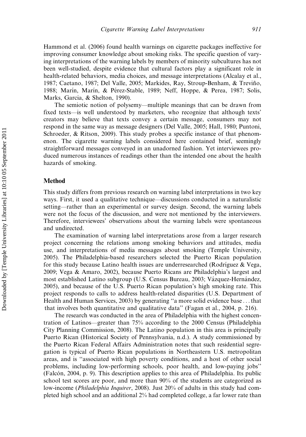Hammond et al. (2006) found health warnings on cigarette packages ineffective for improving consumer knowledge about smoking risks. The specific question of varying interpretations of the warning labels by members of minority subcultures has not been well-studied, despite evidence that cultural factors play a significant role in health-related behaviors, media choices, and message interpretations (Alcalay et al., 1987; Caetano, 1987; Del Valle, 2005; Markides, Ray, Stroup-Benham, & Treviño, 1988; Marín, Marín, & Pérez-Stable, 1989; Neff, Hoppe, & Perea, 1987; Solis, Marks, Garcia, & Shelton, 1990).

The semiotic notion of polysemy—multiple meanings that can be drawn from fixed texts—is well understood by marketers, who recognize that although texts' creators may believe that texts convey a certain message, consumers may not respond in the same way as message designers (Del Valle, 2005; Hall, 1980; Puntoni, Schroeder, & Ritson, 2009). This study probes a specific instance of that phenomenon. The cigarette warning labels considered here contained brief, seemingly straightforward messages conveyed in an unadorned fashion. Yet interviewees produced numerous instances of readings other than the intended one about the health hazards of smoking.

#### Method

This study differs from previous research on warning label interpretations in two key ways. First, it used a qualitative technique—discussions conducted in a naturalistic setting—rather than an experimental or survey design. Second, the warning labels were not the focus of the discussion, and were not mentioned by the interviewers. Therefore, interviewees' observations about the warning labels were spontaneous and undirected.

The examination of warning label interpretations arose from a larger research project concerning the relations among smoking behaviors and attitudes, media use, and interpretations of media messages about smoking (Temple University, 2005). The Philadelphia-based researchers selected the Puerto Rican population for this study because Latino health issues are underresearched (Rodríguez & Vega, 2009; Vega & Amaro, 2002), because Puerto Ricans are Philadelphia's largest and most established Latino subgroup (U.S. Census Bureau, 2003; Vázquez-Hernández, 2005), and because of the U.S. Puerto Rican population's high smoking rate. This project responds to calls to address health-related disparities (U.S. Department of Health and Human Services, 2003) by generating ''a more solid evidence base ... that that involves both quantitative and qualitative data'' (Fagan et al., 2004, p. 216).

The research was conducted in the area of Philadelphia with the highest concentration of Latinos—greater than 75% according to the 2000 Census (Philadelphia City Planning Commission, 2008). The Latino population in this area is principally Puerto Rican (Historical Society of Pennsylvania, n.d.). A study commissioned by the Puerto Rican Federal Affairs Administration notes that such residential segregation is typical of Puerto Rican populations in Northeastern U.S. metropolitan areas, and is ''associated with high poverty conditions, and a host of other social problems, including low-performing schools, poor health, and low-paying jobs'' (Falco´n, 2004, p. 9). This description applies to this area of Philadelphia. Its public school test scores are poor, and more than 90% of the students are categorized as low-income (Philadelphia Inquirer, 2008). Just 20% of adults in this study had completed high school and an additional 2% had completed college, a far lower rate than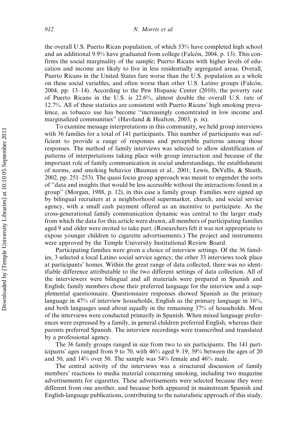the overall U.S. Puerto Rican population, of which 53% have completed high school and an additional  $9.9\%$  have graduated from college (Falcon, 2004, p. 13). This confirms the social marginality of the sample; Puerto Ricans with higher levels of education and income are likely to live in less residentially segregated areas. Overall, Puerto Ricans in the United States fare worse than the U.S. population as a whole on these social variables, and often worse than other U.S. Latino groups (Falcón, 2004, pp. 13–14). According to the Pew Hispanic Center (2010), the poverty rate of Puerto Ricans in the U.S. is 22.6%, almost double the overall U.S. rate of 12.7%. All of these statistics are consistent with Puerto Ricans' high smoking prevalence, as tobacco use has become ''increasingly concentrated in low income and marginalized communities'' (Haviland & Healton, 2003, p. ix).

To examine message interpretations in this community, we held group interviews with 36 families for a total of 141 participants. This number of participants was sufficient to provide a range of responses and perceptible patterns among those responses. The method of family interviews was selected to allow identification of patterns of interpretations taking place with group interaction and because of the important role of family communication in social understandings, the establishment of norms, and smoking behavior (Bauman et al., 2001; Lewis, DeVellis, & Sleath, 2002, pp. 251–253). The quasi focus group approach was meant to engender the sorts of ''data and insights that would be less accessible without the interactions found in a group'' (Morgan, 1988, p. 12), in this case a family group. Families were signed up by bilingual recruiters at a neighborhood supermarket, church, and social service agency, with a small cash payment offered as an incentive to participate. As the cross-generational family communication dynamic was central to the larger study from which the data for this article were drawn, all members of participating families aged 9 and older were invited to take part. (Researchers felt it was not appropriate to expose younger children to cigarette advertisements.) The project and instruments were approved by the Temple University Institutional Review Board.

Participating families were given a choice of interview settings. Of the 36 families, 3 selected a local Latino social service agency; the other 33 interviews took place at participants' homes. Within the great range of data collected, there was no identifiable difference attributable to the two different settings of data collection. All of the interviewers were bilingual and all materials were prepared in Spanish and English; family members chose their preferred language for the interview and a supplemental questionnaire. Questionnaire responses showed Spanish as the primary language in 47% of interview households, English as the primary language in 16%, and both languages used about equally in the remaining 37% of households. Most of the interviews were conducted primarily in Spanish. When mixed language preferences were expressed by a family, in general children preferred English, whereas their parents preferred Spanish. The interview recordings were transcribed and translated by a professional agency.

The 36 family groups ranged in size from two to six participants. The 141 participants' ages ranged from 9 to 70, with 46% aged 9–19, 39% between the ages of 20 and 50, and 14% over 50. The sample was 54% female and 46% male.

The central activity of the interviews was a structured discussion of family members' reactions to media material concerning smoking, including two magazine advertisements for cigarettes. These advertisements were selected because they were different from one another, and because both appeared in mainstream Spanish and English-language publications, contributing to the naturalistic approach of this study.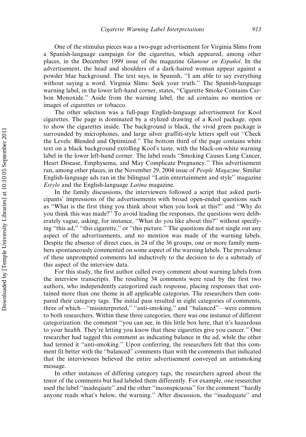One of the stimulus pieces was a two-page advertisement for Virginia Slims from a Spanish-language campaign for the cigarettes, which appeared, among other places, in the December 1999 issue of the magazine *Glamour en Español*. In the advertisement, the head and shoulders of a dark-haired woman appear against a powder blue background. The text says, in Spanish, ''I am able to say everything without saying a word. Virginia Slims: Seek your truth.'' The Spanish-language warning label, in the lower left-hand corner, states, ''Cigarette Smoke Contains Carbon Monoxide.'' Aside from the warning label, the ad contains no mention or images of cigarettes or tobacco.

The other selection was a full-page English-language advertisement for Kool cigarettes. The page is dominated by a stylized drawing of a Kool package, open to show the cigarettes inside. The background is black, the vivid green package is surrounded by microphones, and large silver graffiti-style letters spell out ''Check the Levels: Blended and Optimized.'' The bottom third of the page contains white text on a black background extolling Kool's taste, with the black-on-white warning label in the lower left-hand corner. The label reads ''Smoking Causes Lung Cancer, Heart Disease, Emphysema, and May Complicate Pregnancy.'' This advertisement ran, among other places, in the November 29, 2004 issue of People Magazine. Similar English-language ads ran in the bilingual ''Latin entertainment and style'' magazine Estylo and the English-language Latina magazine.

In the family discussions, the interviewers followed a script that asked participants' impressions of the advertisements with broad open-ended questions such as ''What is the first thing you think about when you look at this?'' and ''Why do you think this was made?'' To avoid leading the responses, the questions were deliberately vague, asking, for instance, ''What do you like about this?'' without specifying ''this ad,'' ''this cigarette,'' or ''this picture.'' The questions did not single out any aspect of the advertisements, and no mention was made of the warning labels. Despite the absence of direct cues, in 24 of the 36 groups, one or more family members spontaneously commented on some aspect of the warning labels. The prevalence of these unprompted comments led inductively to the decision to do a substudy of this aspect of the interview data.

For this study, the first author culled every comment about warning labels from the interview transcripts. The resulting 34 comments were read by the first two authors, who independently categorized each response, placing responses that contained more than one theme in all applicable categories. The researchers then compared their category tags. The initial pass resulted in eight categories of comments, three of which—''misinterpreted,'' ''anti-smoking,'' and ''balanced''—were common to both researchers. Within these three categories, there was one instance of different categorization: the comment ''you can see, in this little box here, that it's hazardous to your health. They're letting you know that these cigarettes give you cancer.'' One researcher had tagged this comment as indicating balance in the ad, while the other had termed it "anti-smoking." Upon conferring, the researchers felt that this comment fit better with the ''balanced'' comments than with the comments that indicated that the interviewees believed the entire advertisement conveyed an antismoking message.

In other instances of differing category tags, the researchers agreed about the tenor of the comments but had labeled them differently. For example, one researcher used the label ''inadequate'' and the other ''inconspicuous'' for the comment ''hardly anyone reads what's below, the warning.'' After discussion, the ''inadequate'' and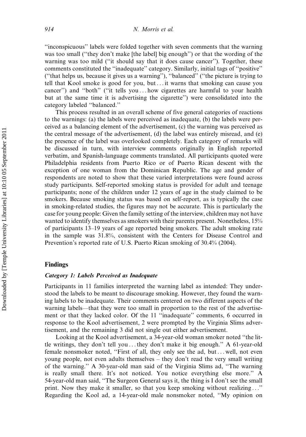''inconspicuous'' labels were folded together with seven comments that the warning was too small (''they don't make [the label] big enough'') or that the wording of the warning was too mild ("it should say that it does cause cancer"). Together, these comments constituted the ''inadequate'' category. Similarly, initial tags of ''positive'' (''that helps us, because it gives us a warning''), ''balanced'' (''the picture is trying to tell that Kool smoke is good for you, but ... it warns that smoking can cause you cancer'') and ''both'' (''it tells you ... how cigarettes are harmful to your health but at the same time it is advertising the cigarette'') were consolidated into the category labeled ''balanced.''

This process resulted in an overall scheme of five general categories of reactions to the warnings: (a) the labels were perceived as inadequate, (b) the labels were perceived as a balancing element of the advertisement, (c) the warning was perceived as the central message of the advertisement, (d) the label was entirely misread, and (e) the presence of the label was overlooked completely. Each category of remarks will be discussed in turn, with interview comments originally in English reported verbatim, and Spanish-language comments translated. All participants quoted were Philadelphia residents from Puerto Rico or of Puerto Rican descent with the exception of one woman from the Dominican Republic. The age and gender of respondents are noted to show that these varied interpretations were found across study participants. Self-reported smoking status is provided for adult and teenage participants; none of the children under 12 years of age in the study claimed to be smokers. Because smoking status was based on self-report, as is typically the case in smoking-related studies, the figures may not be accurate. This is particularly the case for young people: Given the family setting of the interview, children may not have wanted to identify themselves as smokers with their parents present. Nonetheless, 15% of participants 13–19 years of age reported being smokers. The adult smoking rate in the sample was 31.8%, consistent with the Centers for Disease Control and Prevention's reported rate of U.S. Puerto Rican smoking of 30.4% (2004).

#### Findings

#### Category 1: Labels Perceived as Inadequate

Participants in 11 families interpreted the warning label as intended: They understood the labels to be meant to discourage smoking. However, they found the warning labels to be inadequate. Their comments centered on two different aspects of the warning labels—that they were too small in proportion to the rest of the advertisement or that they lacked color. Of the 11 ''inadequate'' comments, 6 occurred in response to the Kool advertisement, 2 were prompted by the Virginia Slims advertisement, and the remaining 3 did not single out either advertisement.

Looking at the Kool advertisement, a 34-year-old woman smoker noted ''the little writings, they don't tell you ... they don't make it big enough.'' A 61-year-old female nonsmoker noted, "First of all, they only see the ad, but ... well, not even young people, not even adults themselves – they don't read the very small writing of the warning.'' A 30-year-old man said of the Virginia Slims ad, ''The warning is really small there. It's not noticed. You notice everything else more.'' A 54-year-old man said, ''The Surgeon General says it, the thing is I don't see the small print. Now they make it smaller, so that you keep smoking without realizing ...'' Regarding the Kool ad, a 14-year-old male nonsmoker noted, ''My opinion on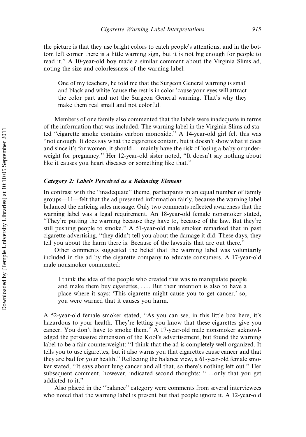the picture is that they use bright colors to catch people's attentions, and in the bottom left corner there is a little warning sign, but it is not big enough for people to read it.'' A 10-year-old boy made a similar comment about the Virginia Slims ad, noting the size and colorlessness of the warning label:

One of my teachers, he told me that the Surgeon General warning is small and black and white 'cause the rest is in color 'cause your eyes will attract the color part and not the Surgeon General warning. That's why they make them real small and not colorful.

Members of one family also commented that the labels were inadequate in terms of the information that was included. The warning label in the Virginia Slims ad stated ''cigarette smoke contains carbon monoxide.'' A 14-year-old girl felt this was ''not enough. It does say what the cigarettes contain, but it doesn't show what it does and since it's for women, it should ... mainly have the risk of losing a baby or underweight for pregnancy.'' Her 12-year-old sister noted, ''It doesn't say nothing about like it causes you heart diseases or something like that.''

#### Category 2: Labels Perceived as a Balancing Element

In contrast with the ''inadequate'' theme, participants in an equal number of family groups—11—felt that the ad presented information fairly, because the warning label balanced the enticing sales message. Only two comments reflected awareness that the warning label was a legal requirement. An 18-year-old female nonsmoker stated, ''They're putting the warning because they have to, because of the law. But they're still pushing people to smoke.'' A 51-year-old male smoker remarked that in past cigarette advertising, ''they didn't tell you about the damage it did. These days, they tell you about the harm there is. Because of the lawsuits that are out there.''

Other comments suggested the belief that the warning label was voluntarily included in the ad by the cigarette company to educate consumers. A 17-year-old male nonsmoker commented:

I think the idea of the people who created this was to manipulate people and make them buy cigarettes, ... . But their intention is also to have a place where it says: 'This cigarette might cause you to get cancer,' so, you were warned that it causes you harm.

A 52-year-old female smoker stated, ''As you can see, in this little box here, it's hazardous to your health. They're letting you know that these cigarettes give you cancer. You don't have to smoke them.'' A 17-year-old male nonsmoker acknowledged the persuasive dimension of the Kool's advertisement, but found the warning label to be a fair counterweight: ''I think that the ad is completely well-organized. It tells you to use cigarettes, but it also warns you that cigarettes cause cancer and that they are bad for your health.'' Reflecting the balance view, a 61-year-old female smoker stated, ''It says about lung cancer and all that, so there's nothing left out.'' Her subsequent comment, however, indicated second thoughts: ''... only that you get addicted to it.''

Also placed in the ''balance'' category were comments from several interviewees who noted that the warning label is present but that people ignore it. A 12-year-old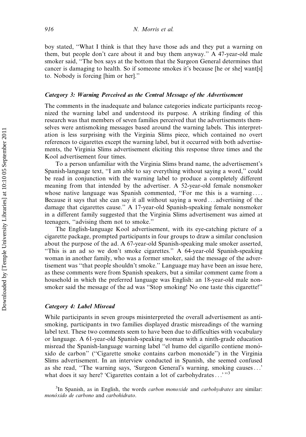boy stated, ''What I think is that they have those ads and they put a warning on them, but people don't care about it and buy them anyway.'' A 47-year-old male smoker said, ''The box says at the bottom that the Surgeon General determines that cancer is damaging to health. So if someone smokes it's because [he or she] want[s] to. Nobody is forcing [him or her].''

#### Category 3: Warning Perceived as the Central Message of the Advertisement

The comments in the inadequate and balance categories indicate participants recognized the warning label and understood its purpose. A striking finding of this research was that members of seven families perceived that the advertisements themselves were antismoking messages based around the warning labels. This interpretation is less surprising with the Virginia Slims piece, which contained no overt references to cigarettes except the warning label, but it occurred with both advertisements, the Virginia Slims advertisement eliciting this response three times and the Kool advertisement four times.

To a person unfamiliar with the Virginia Slims brand name, the advertisement's Spanish-language text, ''I am able to say everything without saying a word,'' could be read in conjunction with the warning label to produce a completely different meaning from that intended by the advertiser. A 52-year-old female nonsmoker whose native language was Spanish commented, "For me this is a warning ... Because it says that she can say it all without saying a word ... advertising of the damage that cigarettes cause.'' A 17-year-old Spanish-speaking female nonsmoker in a different family suggested that the Virginia Slims advertisement was aimed at teenagers, ''advising them not to smoke.''

The English-language Kool advertisement, with its eye-catching picture of a cigarette package, prompted participants in four groups to draw a similar conclusion about the purpose of the ad. A 67-year-old Spanish-speaking male smoker asserted, ''This is an ad so we don't smoke cigarettes.'' A 64-year-old Spanish-speaking woman in another family, who was a former smoker, said the message of the advertisement was ''that people shouldn't smoke.'' Language may have been an issue here, as these comments were from Spanish speakers, but a similar comment came from a household in which the preferred language was English: an 18-year-old male nonsmoker said the message of the ad was ''Stop smoking! No one taste this cigarette!''

#### Category 4: Label Misread

While participants in seven groups misinterpreted the overall advertisement as antismoking, participants in two families displayed drastic misreadings of the warning label text. These two comments seem to have been due to difficulties with vocabulary or language. A 61-year-old Spanish-speaking woman with a ninth-grade education misread the Spanish-language warning label "el humo del cigarillo contiene monóxido de carbon'' (''Cigarette smoke contains carbon monoxide'') in the Virginia Slims advertisement. In an interview conducted in Spanish, she seemed confused as she read, ''The warning says, 'Surgeon General's warning, smoking causes...' what does it say here? 'Cigarettes contain a lot of carbohydrates...'"<sup>3</sup>

 $3$ In Spanish, as in English, the words *carbon monoxide* and *carbohydrates* are similar: monóxido de carbono and carbohidrato.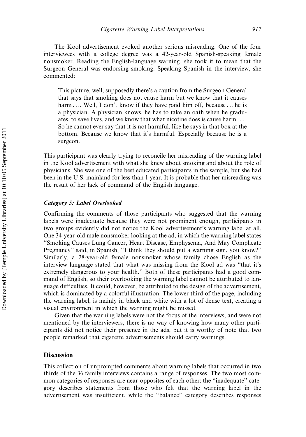The Kool advertisement evoked another serious misreading. One of the four interviewees with a college degree was a 42-year-old Spanish-speaking female nonsmoker. Reading the English-language warning, she took it to mean that the Surgeon General was endorsing smoking. Speaking Spanish in the interview, she commented:

This picture, well, supposedly there's a caution from the Surgeon General that says that smoking does not cause harm but we know that it causes harm .... Well, I don't know if they have paid him off, because ... he is a physician. A physician knows, he has to take an oath when he graduates, to save lives, and we know that what nicotine does is cause harm ... . So he cannot ever say that it is not harmful, like he says in that box at the bottom. Because we know that it's harmful. Especially because he is a surgeon.

This participant was clearly trying to reconcile her misreading of the warning label in the Kool advertisement with what she knew about smoking and about the role of physicians. She was one of the best educated participants in the sample, but she had been in the U.S. mainland for less than 1 year. It is probable that her misreading was the result of her lack of command of the English language.

#### Category 5: Label Overlooked

Confirming the comments of those participants who suggested that the warning labels were inadequate because they were not prominent enough, participants in two groups evidently did not notice the Kool advertisement's warning label at all. One 34-year-old male nonsmoker looking at the ad, in which the warning label states ''Smoking Causes Lung Cancer, Heart Disease, Emphysema, And May Complicate Pregnancy" said, in Spanish, "I think they should put a warning sign, you know?" Similarly, a 28-year-old female nonsmoker whose family chose English as the interview language stated that what was missing from the Kool ad was ''that it's extremely dangerous to your health.'' Both of these participants had a good command of English, so their overlooking the warning label cannot be attributed to language difficulties. It could, however, be attributed to the design of the advertisement, which is dominated by a colorful illustration. The lower third of the page, including the warning label, is mainly in black and white with a lot of dense text, creating a visual environment in which the warning might be missed.

Given that the warning labels were not the focus of the interviews, and were not mentioned by the interviewers, there is no way of knowing how many other participants did not notice their presence in the ads, but it is worthy of note that two people remarked that cigarette advertisements should carry warnings.

#### **Discussion**

This collection of unprompted comments about warning labels that occurred in two thirds of the 36 family interviews contains a range of responses. The two most common categories of responses are near-opposites of each other: the ''inadequate'' category describes statements from those who felt that the warning label in the advertisement was insufficient, while the ''balance'' category describes responses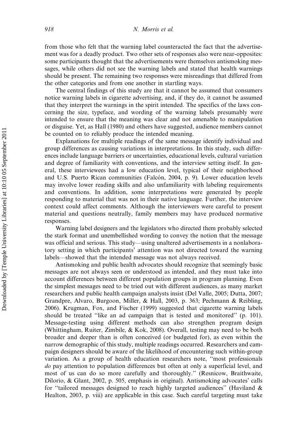from those who felt that the warning label counteracted the fact that the advertisement was for a deadly product. Two other sets of responses also were near-opposites: some participants thought that the advertisements were themselves antismoking messages, while others did not see the warning labels and stated that health warnings should be present. The remaining two responses were misreadings that differed from the other categories and from one another in startling ways.

The central findings of this study are that it cannot be assumed that consumers notice warning labels in cigarette advertising, and, if they do, it cannot be assumed that they interpret the warnings in the spirit intended. The specifics of the laws concerning the size, typeface, and wording of the warning labels presumably were intended to ensure that the meaning was clear and not amenable to manipulation or disguise. Yet, as Hall (1980) and others have suggested, audience members cannot be counted on to reliably produce the intended meaning.

Explanations for multiple readings of the same message identify individual and group differences as causing variations in interpretations. In this study, such differences include language barriers or uncertainties, educational levels, cultural variation and degree of familiarity with conventions, and the interview setting itself. In general, these interviewees had a low education level, typical of their neighborhood and U.S. Puerto Rican communities (Falcón, 2004, p. 9). Lower education levels may involve lower reading skills and also unfamiliarity with labeling requirements and conventions. In addition, some interpretations were generated by people responding to material that was not in their native language. Further, the interview context could affect comments. Although the interviewers were careful to present material and questions neutrally, family members may have produced normative responses.

Warning label designers and the legislators who directed them probably selected the stark format and unembellished wording to convey the notion that the message was official and serious. This study—using unaltered advertisements in a nonlaboratory setting in which participants' attention was not directed toward the warning labels—showed that the intended message was not always received.

Antismoking and public health advocates should recognize that seemingly basic messages are not always seen or understood as intended, and they must take into account differences between different population groups in program planning. Even the simplest messages need to be tried out with different audiences, as many market researchers and public health campaign analysts insist (Del Valle, 2005; Dutta, 2007; Grandpre, Alvaro, Burgoon, Miller, & Hall, 2003, p. 363; Pechmann & Reibling, 2006). Krugman, Fox, and Fischer (1999) suggested that cigarette warning labels should be treated ''like an ad campaign that is tested and monitored'' (p. 101). Message-testing using different methods can also strengthen program design (Whittingham, Ruiter, Zimbile, & Kok, 2008). Overall, testing may need to be both broader and deeper than is often conceived (or budgeted for), as even within the narrow demographic of this study, multiple readings occurred. Researchers and campaign designers should be aware of the likelihood of encountering such within-group variation. As a group of health education researchers note, ''most professionals do pay attention to population differences but often at only a superficial level, and most of us can do so more carefully and thoroughly.'' (Resnicow, Braithwaite, Dilorio, & Glant, 2002, p. 505, emphasis in original). Antismoking advocates' calls for ''tailored messages designed to reach highly targeted audiences'' (Haviland & Healton, 2003, p. viii) are applicable in this case. Such careful targeting must take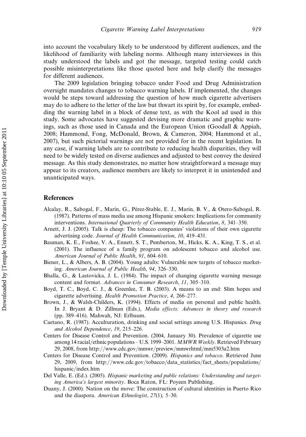into account the vocabulary likely to be understood by different audiences, and the likelihood of familiarity with labeling norms. Although many interviewees in this study understood the labels and got the message, targeted testing could catch possible misinterpretations like those quoted here and help clarify the messages for different audiences.

The 2009 legislation bringing tobacco under Food and Drug Administration oversight mandates changes to tobacco warning labels. If implemented, the changes would be steps toward addressing the question of how much cigarette advertisers may do to adhere to the letter of the law but thwart its spirit by, for example, embedding the warning label in a block of dense text, as with the Kool ad used in this study. Some advocates have suggested devising more dramatic and graphic warnings, such as those used in Canada and the European Union (Goodall & Appiah, 2008; Hammond, Fong, McDonald, Brown, & Cameron, 2004; Hammond et al., 2007), but such pictorial warnings are not provided for in the recent legislation. In any case, if warning labels are to contribute to reducing health disparities, they will need to be widely tested on diverse audiences and adjusted to best convey the desired message. As this study demonstrates, no matter how straightforward a message may appear to its creators, audience members are likely to interpret it in unintended and unanticipated ways.

#### References

- Alcalay, R., Sabogal, F., Marín, G., Pérez-Stable, E. J., Marín, B. V., & Otero-Sabogal, R. (1987). Patterns of mass media use among Hispanic smokers: Implications for community interventions. International Quarterly of Community Health Education, 8, 341–350.
- Arnett, J. J. (2005). Talk is cheap: The tobacco companies' violations of their own cigarette advertising code. Journal of Health Communication, 10, 419–431.
- Bauman, K. E., Foshee, V. A., Ennett, S. T., Pemberton, M., Hicks, K. A., King, T. S., et al. (2001). The influence of a family program on adolescent tobacco and alcohol use. American Journal of Public Health, 91, 604–610.
- Biener, L., & Albers, A. B. (2004). Young adults: Vulnerable new targets of tobacco marketing. American Journal of Public Health, 94, 326–330.
- Bhalla, G., & Lastovicka, J. L. (1984). The impact of changing cigarette warning message content and format. Advances in Consumer Research, 11, 305–310.
- Boyd, T. C., Boyd, C. J., & Greenlee, T. B. (2003). A means to an end: Slim hopes and cigarette advertising. Health Promotion Practice, 4, 266–277.
- Brown, J., & Walsh-Childers, K. (1994). Effects of media on personal and public health. In J. Bryant & D. Zillman (Eds.), Media effects: Advances in theory and research (pp. 389–416). Mahwah, NJ: Erlbaum.
- Caetano, R. (1987). Acculturation, drinking and social settings among U.S. Hispanics. Drug and Alcohol Dependence, 19, 215–226.
- Centers for Disease Control and Prevention. (2004, January 30). Prevalence of cigarette use among 14 racial/ethnic populations – U.S. 1999–2001. MMWR Weekly. Retrieved February 29, 2008, from http://www.cdc.gov/mmwr/preview/mmwrhtml/mm5303a2.htm
- Centers for Disease Control and Prevention. (2009). Hispanics and tobacco. Retrieved June 29, 2009, from http://www.cdc.gov/tobacco/data\_statistics/fact\_sheets/populations/ hispanic/index.htm
- Del Valle, E. (Ed.). (2005). Hispanic marketing and public relations: Understanding and targeting America's largest minority. Boca Raton, FL: Poyeen Publishing.
- Duany, J. (2000). Nation on the move: The construction of cultural identities in Puerto Rico and the diaspora. American Ethnologist, 27(1), 5–30.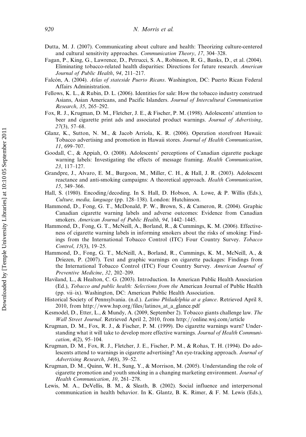- Dutta, M. J. (2007). Communicating about culture and health: Theorizing culture-centered and cultural sensitivity approaches. Communication Theory, 17, 304–328.
- Fagan, P., King, G., Lawrence, D., Petrucci, S. A., Robinson, R. G., Banks, D., et al. (2004). Eliminating tobacco-related health disparities: Directions for future research. American Journal of Public Health, 94, 211–217.
- Falcón, A. (2004). Atlas of stateside Puerto Ricans. Washington, DC: Puerto Rican Federal Affairs Administration.
- Fellows, K. L., & Rubin, D. L. (2006). Identities for sale: How the tobacco industry construed Asians, Asian Americans, and Pacific Islanders. Journal of Intercultural Communication Research, 35, 265–292.
- Fox, R. J., Krugman, D. M., Fletcher, J. E., & Fischer, P. M. (1998). Adolescents' attention to beer and cigarette print ads and associated product warnings. Journal of Advertising, 27(3), 57–68.
- Glanz, K., Sutton, N. M., & Jacob Arriola, K. R. (2006). Operation storefront Hawaii: Tobacco advertising and promotion in Hawaii stores. Journal of Health Communication, 11, 699–707.
- Goodall, C., & Appiah, O. (2008). Adolescents' perceptions of Canadian cigarette package warning labels: Investigating the effects of message framing. Health Communication, 23, 117–127.
- Grandpre, J., Alvaro, E. M., Burgoon, M., Miller, C. H., & Hall, J. R. (2003). Adolescent reactance and anti-smoking campaigns: A theoretical approach. Health Communication, 15, 349–366.
- Hall, S. (1980). Encoding/decoding. In S. Hall, D. Hobson, A. Lowe, & P. Willis (Eds.), Culture, media, language (pp. 128–138). London: Hutchinson.
- Hammond, D., Fong, G. T., McDonald, P. W., Brown, S., & Cameron, R. (2004). Graphic Canadian cigarette warning labels and adverse outcomes: Evidence from Canadian smokers. American Journal of Public Health, 94, 1442–1445.
- Hammond, D., Fong, G. T., McNeill, A., Borland, R., & Cummings, K. M. (2006). Effectiveness of cigarette warning labels in informing smokers about the risks of smoking: Findings from the International Tobacco Control (ITC) Four Country Survey. Tobacco Control, 15(3), 19–25.
- Hammond, D., Fong, G. T., McNeill, A., Borland, R., Cummings, K. M., McNeill, A., & Driezen, P. (2007). Text and graphic warnings on cigarette packages: Findings from the International Tobacco Control (ITC) Four Country Survey. American Journal of Preventive Medicine, 32, 202–209.
- Haviland, L., & Healton, C. G. (2003). Introduction. In American Public Health Association (Ed.), Tobacco and public health: Selections from the American Journal of Public Health (pp. vii–ix). Washington, DC: American Public Health Association.
- Historical Society of Pennsylvania. (n.d.). Latino Philadelphia at a glance. Retrieved April 8, 2010, from http://www.hsp.org/files/latinos\_at\_a\_glance.pdf
- Kesmodel, D., Etter, L., & Mundy, A. (2009, September 2). Tobacco giants challenge law. The Wall Street Journal. Retrieved April 2, 2010, from http://online.wsj.com/article
- Krugman, D. M., Fox, R. J., & Fischer, P. M. (1999). Do cigarette warnings warn? Understanding what it will take to develop more effective warnings. Journal of Health Communication, 4(2), 95–104.
- Krugman, D. M., Fox, R. J., Fletcher, J. E., Fischer, P. M., & Rohas, T. H. (1994). Do adolescents attend to warnings in cigarette advertising? An eye-tracking approach. Journal of Advertising Research, 34(6), 39–52.
- Krugman, D. M., Quinn, W. H., Sung, Y., & Morrison, M. (2005). Understanding the role of cigarette promotion and youth smoking in a changing marketing environment. Journal of Health Communication, 10, 261–278.
- Lewis, M. A., DeVellis, B. M., & Sleath, B. (2002). Social influence and interpersonal communication in health behavior. In K. Glantz, B. K. Rimer, & F. M. Lewis (Eds.),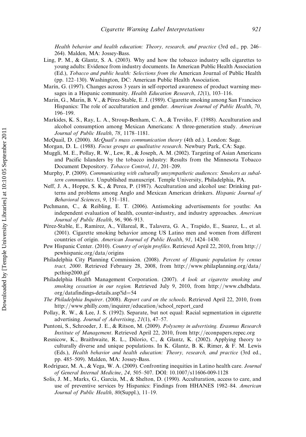Health behavior and health education: Theory, research, and practice (3rd ed., pp. 246– 264). Malden, MA: Jossey-Bass.

- Ling, P. M., & Glantz, S. A. (2003). Why and how the tobacco industry sells cigarettes to young adults: Evidence from industry documents. In American Public Health Association (Ed.), Tobacco and public health: Selections from the American Journal of Public Health (pp. 122–130). Washington, DC: American Public Health Association.
- Marín, G. (1997). Changes across 3 years in self-reported awareness of product warning messages in a Hispanic community. Health Education Research, 12(1), 103–116.
- Marín, G., Marín, B. V., & Pérez-Stable, E. J. (1989). Cigarette smoking among San Francisco Hispanics: The role of acculturation and gender. American Journal of Public Health, 70, 196–199.
- Markides, K. S., Ray, L. A., Stroup-Benham, C. A., & Treviño, F. (1988). Acculturation and alcohol consumption among Mexican Americans: A three-generation study. American Journal of Public Health, 78, 1178–1181.
- McQuail, D. (2000). McQuail's mass communication theory (4th ed.). London: Sage.
- Morgan, D. L. (1988). Focus groups as qualitative research. Newbury Park, CA: Sage.
- Muggli, M. E., Pollay, R. W., Lew, R., & Joseph, A. M. (2002). Targeting of Asian Americans and Pacific Islanders by the tobacco industry: Results from the Minnesota Tobacco Document Depository. Tobacco Control, 11, 201–209.
- Murphy, P. (2009). Communicating with culturally unsympathetic audiences: Smokers as subaltern communities. Unpublished manuscript. Temple University, Philadelphia, PA.
- Neff, J. A., Hoppe, S. K., & Perea, P. (1987). Acculturation and alcohol use: Drinking patterns and problems among Anglo and Mexican American drinkers. Hispanic Journal of Behavioral Sciences, 9, 151–181.
- Pechmann, C., & Reibling, E. T. (2006). Antismoking advertisements for youths: An independent evaluation of health, counter-industry, and industry approaches. American Journal of Public Health, 96, 906–913.
- Pérez-Stable, E., Ramírez, A., Villareal, R., Talavera, G. A., Trapido, E., Suarez, L., et al. (2001). Cigarette smoking behavior among US Latino men and women from different countries of origin. American Journal of Public Health, 91, 1424–1430.
- Pew Hispanic Center. (2010). Country of origin profiles. Retrieved April 22, 2010, from http:// pewhispanic.org/data/origins
- Philadelphia City Planning Commission. (2008). Percent of Hispanic population by census tract, 2000. Retrieved February 28, 2008, from http://www.philaplanning.org/data/ pcthisp2000.gif
- Philadelphia Health Management Corporation. (2007). A look at cigarette smoking and smoking cessation in our region. Retrieved July 9, 2010, from http://www.chdbdata. org/datafindings-details.asp?id=54
- The Philadelphia Inquirer. (2008). Report card on the schools. Retrieved April 22, 2010, from http://www.philly.com/inquirer/education/school\_report\_card
- Pollay, R. W., & Lee, J. S. (1992). Separate, but not equal: Racial segmentation in cigarette advertising. Journal of Advertising, 21(1), 47–57.
- Puntoni, S., Schroeder, J. E., & Ritson, M. (2009). Polysemy in advertising. Erasmus Research Institute of Management. Retrieved April 22, 2010, from http://econpapers.repec.org
- Resnicow, K., Braithwaite, R. L., Dilorio, C., & Glantz, K. (2002). Applying theory to culturally diverse and unique populations. In K. Glantz, B. K. Rimer, & F. M. Lewis (Eds.), Health behavior and health education: Theory, research, and practice (3rd ed., pp. 485–509). Malden, MA: Jossey-Bass.
- Rodríguez, M. A., & Vega, W. A. (2009). Confronting inequities in Latino health care. Journal of General Internal Medicine, 24, 505-507. DOI: 10.1007/s11606-009-1128
- Solis, J. M., Marks, G., Garcia, M., & Shelton, D. (1990). Acculturation, access to care, and use of preventive services by Hispanics: Findings from HHANES 1982–84. American Journal of Public Health, 80(Suppl.), 11–19.